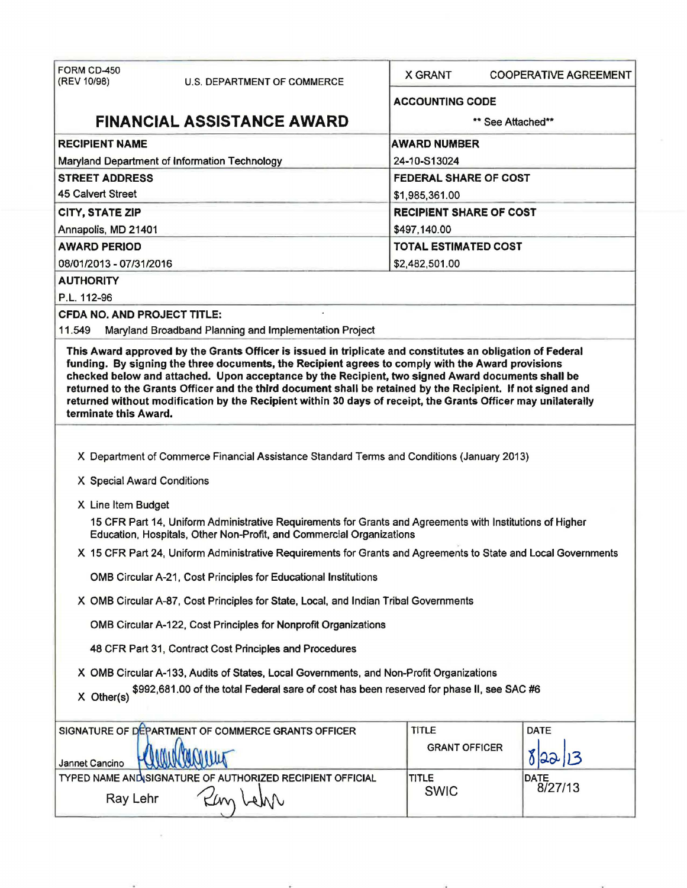| FORM CD-450<br>(REV 10/98)                                                                                     | U.S. DEPARTMENT OF COMMERCE                                                                                                                                                                                                                                                                                                       | <b>X GRANT</b>                 | <b>COOPERATIVE AGREEMENT</b> |  |  |
|----------------------------------------------------------------------------------------------------------------|-----------------------------------------------------------------------------------------------------------------------------------------------------------------------------------------------------------------------------------------------------------------------------------------------------------------------------------|--------------------------------|------------------------------|--|--|
|                                                                                                                |                                                                                                                                                                                                                                                                                                                                   | <b>ACCOUNTING CODE</b>         |                              |  |  |
| <b>FINANCIAL ASSISTANCE AWARD</b>                                                                              |                                                                                                                                                                                                                                                                                                                                   | ** See Attached**              |                              |  |  |
| <b>RECIPIENT NAME</b>                                                                                          |                                                                                                                                                                                                                                                                                                                                   | <b>AWARD NUMBER</b>            |                              |  |  |
|                                                                                                                | Maryland Department of Information Technology                                                                                                                                                                                                                                                                                     | 24-10-S13024                   |                              |  |  |
| <b>STREET ADDRESS</b>                                                                                          |                                                                                                                                                                                                                                                                                                                                   |                                | FEDERAL SHARE OF COST        |  |  |
| <b>45 Calvert Street</b>                                                                                       |                                                                                                                                                                                                                                                                                                                                   | \$1,985,361.00                 |                              |  |  |
| CITY, STATE ZIP                                                                                                |                                                                                                                                                                                                                                                                                                                                   | <b>RECIPIENT SHARE OF COST</b> |                              |  |  |
| Annapolis, MD 21401                                                                                            |                                                                                                                                                                                                                                                                                                                                   | \$497,140.00                   |                              |  |  |
| <b>AWARD PERIOD</b>                                                                                            |                                                                                                                                                                                                                                                                                                                                   |                                | <b>TOTAL ESTIMATED COST</b>  |  |  |
| 08/01/2013 - 07/31/2016                                                                                        |                                                                                                                                                                                                                                                                                                                                   | \$2,482,501.00                 |                              |  |  |
| <b>AUTHORITY</b>                                                                                               |                                                                                                                                                                                                                                                                                                                                   |                                |                              |  |  |
| P.L. 112-96                                                                                                    |                                                                                                                                                                                                                                                                                                                                   |                                |                              |  |  |
| <b>CFDA NO. AND PROJECT TITLE:</b>                                                                             |                                                                                                                                                                                                                                                                                                                                   |                                |                              |  |  |
| 11.549                                                                                                         | Maryland Broadband Planning and Implementation Project                                                                                                                                                                                                                                                                            |                                |                              |  |  |
| terminate this Award.                                                                                          | checked below and attached. Upon acceptance by the Recipient, two signed Award documents shall be<br>returned to the Grants Officer and the third document shall be retained by the Recipient. If not signed and<br>returned without modification by the Recipient within 30 days of receipt, the Grants Officer may unilaterally |                                |                              |  |  |
| X Special Award Conditions                                                                                     | X Department of Commerce Financial Assistance Standard Terms and Conditions (January 2013)                                                                                                                                                                                                                                        |                                |                              |  |  |
|                                                                                                                |                                                                                                                                                                                                                                                                                                                                   |                                |                              |  |  |
| X Line Item Budget                                                                                             |                                                                                                                                                                                                                                                                                                                                   |                                |                              |  |  |
|                                                                                                                | 15 CFR Part 14, Uniform Administrative Requirements for Grants and Agreements with Institutions of Higher<br>Education, Hospitals, Other Non-Profit, and Commercial Organizations                                                                                                                                                 |                                |                              |  |  |
| X 15 CFR Part 24, Uniform Administrative Requirements for Grants and Agreements to State and Local Governments |                                                                                                                                                                                                                                                                                                                                   |                                |                              |  |  |
|                                                                                                                | OMB Circular A-21, Cost Principles for Educational Institutions                                                                                                                                                                                                                                                                   |                                |                              |  |  |
|                                                                                                                | X OMB Circular A-87, Cost Principles for State, Local, and Indian Tribal Governments                                                                                                                                                                                                                                              |                                |                              |  |  |
|                                                                                                                | OMB Circular A-122, Cost Principles for Nonprofit Organizations                                                                                                                                                                                                                                                                   |                                |                              |  |  |
| 48 CFR Part 31, Contract Cost Principles and Procedures                                                        |                                                                                                                                                                                                                                                                                                                                   |                                |                              |  |  |
|                                                                                                                | X OMB Circular A-133, Audits of States, Local Governments, and Non-Profit Organizations                                                                                                                                                                                                                                           |                                |                              |  |  |
| X Other(s)                                                                                                     | \$992,681.00 of the total Federal sare of cost has been reserved for phase II, see SAC #6                                                                                                                                                                                                                                         |                                |                              |  |  |
|                                                                                                                | SIGNATURE OF DEPARTMENT OF COMMERCE GRANTS OFFICER                                                                                                                                                                                                                                                                                | <b>TITLE</b>                   | DATE                         |  |  |
| Jannet Cancino                                                                                                 |                                                                                                                                                                                                                                                                                                                                   | <b>GRANT OFFICER</b>           |                              |  |  |
|                                                                                                                | TYPED NAME AND SIGNATURE OF AUTHORIZED RECIPIENT OFFICIAL                                                                                                                                                                                                                                                                         | <b>TITLE</b>                   | DATE<br>8/27/13              |  |  |
| Ray Lehr                                                                                                       | WAN                                                                                                                                                                                                                                                                                                                               | <b>SWIC</b>                    |                              |  |  |
|                                                                                                                |                                                                                                                                                                                                                                                                                                                                   |                                |                              |  |  |

 $\sigma_{\rm c}$